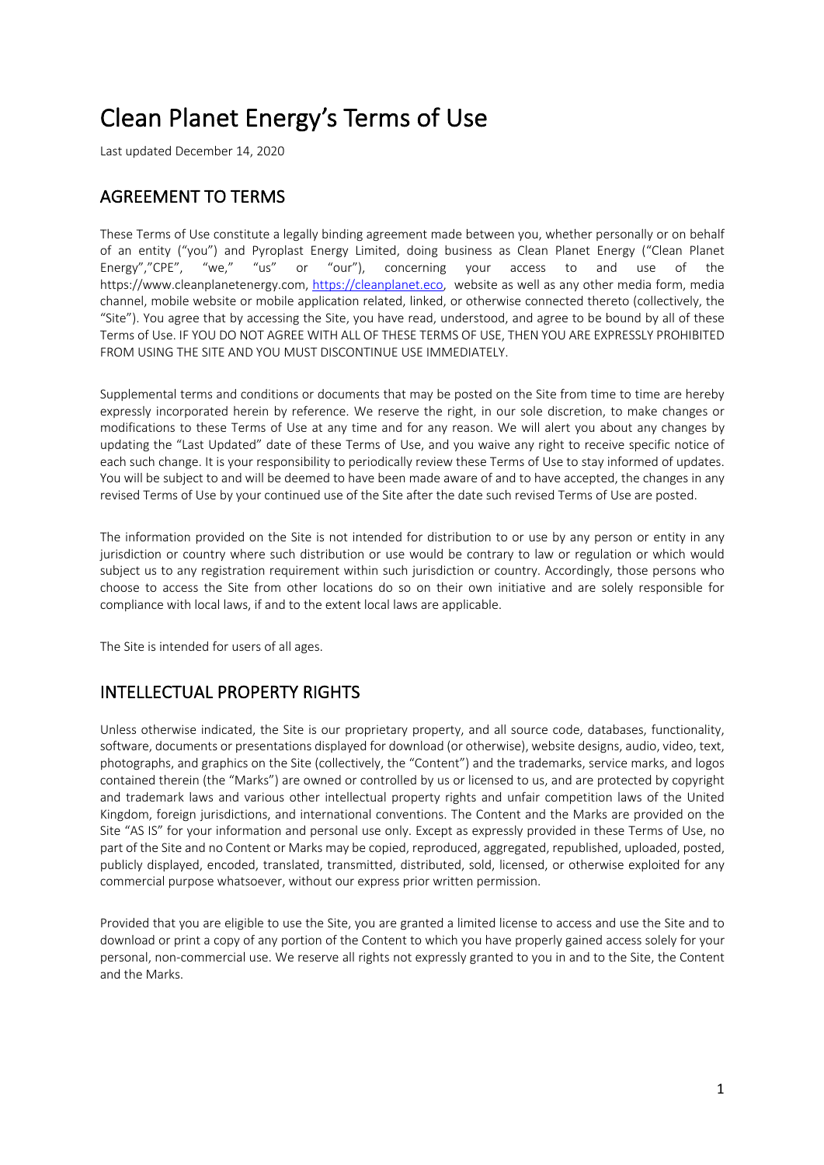# Clean Planet Energy's Terms of Use

Last updated December 14, 2020

# AGREEMENT TO TERMS

These Terms of Use constitute a legally binding agreement made between you, whether personally or on behalf of an entity ("you") and Pyroplast Energy Limited, doing business as Clean Planet Energy ("Clean Planet Energy","CPE", "we," "us" or "our"), concerning your access to and use of the https://www.cleanplanetenergy.com, https://cleanplanet.eco, website as well as any other media form, media channel, mobile website or mobile application related, linked, or otherwise connected thereto (collectively, the "Site"). You agree that by accessing the Site, you have read, understood, and agree to be bound by all of these Terms of Use. IF YOU DO NOT AGREE WITH ALL OF THESE TERMS OF USE, THEN YOU ARE EXPRESSLY PROHIBITED FROM USING THE SITE AND YOU MUST DISCONTINUE USE IMMEDIATELY.

Supplemental terms and conditions or documents that may be posted on the Site from time to time are hereby expressly incorporated herein by reference. We reserve the right, in our sole discretion, to make changes or modifications to these Terms of Use at any time and for any reason. We will alert you about any changes by updating the "Last Updated" date of these Terms of Use, and you waive any right to receive specific notice of each such change. It is your responsibility to periodically review these Terms of Use to stay informed of updates. You will be subject to and will be deemed to have been made aware of and to have accepted, the changes in any revised Terms of Use by your continued use of the Site after the date such revised Terms of Use are posted.

The information provided on the Site is not intended for distribution to or use by any person or entity in any jurisdiction or country where such distribution or use would be contrary to law or regulation or which would subject us to any registration requirement within such jurisdiction or country. Accordingly, those persons who choose to access the Site from other locations do so on their own initiative and are solely responsible for compliance with local laws, if and to the extent local laws are applicable.

The Site is intended for users of all ages.

## INTELLECTUAL PROPERTY RIGHTS

Unless otherwise indicated, the Site is our proprietary property, and all source code, databases, functionality, software, documents or presentations displayed for download (or otherwise), website designs, audio, video, text, photographs, and graphics on the Site (collectively, the "Content") and the trademarks, service marks, and logos contained therein (the "Marks") are owned or controlled by us or licensed to us, and are protected by copyright and trademark laws and various other intellectual property rights and unfair competition laws of the United Kingdom, foreign jurisdictions, and international conventions. The Content and the Marks are provided on the Site "AS IS" for your information and personal use only. Except as expressly provided in these Terms of Use, no part of the Site and no Content or Marks may be copied, reproduced, aggregated, republished, uploaded, posted, publicly displayed, encoded, translated, transmitted, distributed, sold, licensed, or otherwise exploited for any commercial purpose whatsoever, without our express prior written permission.

Provided that you are eligible to use the Site, you are granted a limited license to access and use the Site and to download or print a copy of any portion of the Content to which you have properly gained access solely for your personal, non-commercial use. We reserve all rights not expressly granted to you in and to the Site, the Content and the Marks.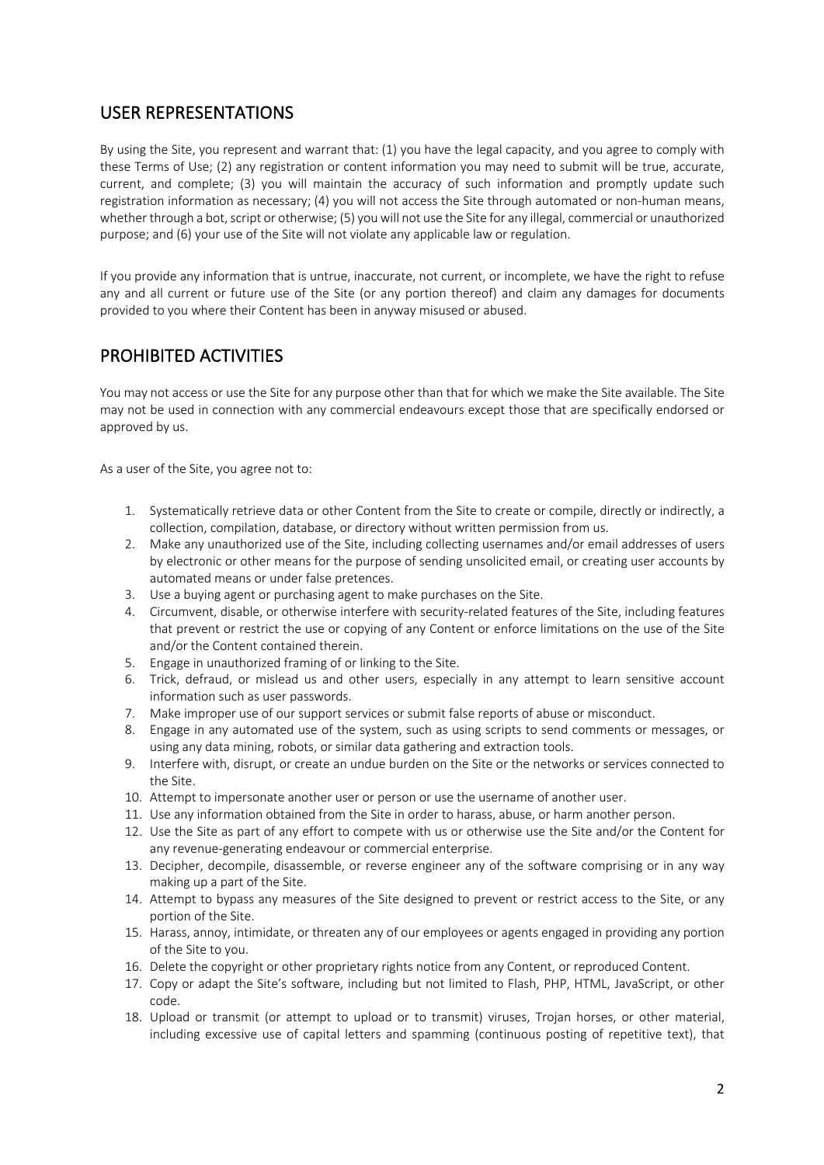## USER REPRESENTATIONS

By using the Site, you represent and warrant that: (1) you have the legal capacity, and you agree to comply with these Terms of Use; (2) any registration or content information you may need to submit will be true, accurate, current, and complete; (3) you will maintain the accuracy of such information and promptly update such registration information as necessary; (4) you will not access the Site through automated or non-human means, whether through a bot, script or otherwise; (5) you will not use the Site for any illegal, commercial or unauthorized purpose; and (6) your use of the Site will not violate any applicable law or regulation.

If you provide any information that is untrue, inaccurate, not current, or incomplete, we have the right to refuse any and all current or future use of the Site (or any portion thereof) and claim any damages for documents provided to you where their Content has been in anyway misused or abused.

### PROHIBITED ACTIVITIES

You may not access or use the Site for any purpose other than that for which we make the Site available. The Site may not be used in connection with any commercial endeavours except those that are specifically endorsed or approved by us.

As a user of the Site, you agree not to:

- 1. Systematically retrieve data or other Content from the Site to create or compile, directly or indirectly, a collection, compilation, database, or directory without written permission from us.
- 2. Make any unauthorized use of the Site, including collecting usernames and/or email addresses of users by electronic or other means for the purpose of sending unsolicited email, or creating user accounts by automated means or under false pretences.
- 3. Use a buying agent or purchasing agent to make purchases on the Site.
- 4. Circumvent, disable, or otherwise interfere with security-related features of the Site, including features that prevent or restrict the use or copying of any Content or enforce limitations on the use of the Site and/or the Content contained therein.
- 5. Engage in unauthorized framing of or linking to the Site.
- 6. Trick, defraud, or mislead us and other users, especially in any attempt to learn sensitive account information such as user passwords.
- 7. Make improper use of our support services or submit false reports of abuse or misconduct.
- 8. Engage in any automated use of the system, such as using scripts to send comments or messages, or using any data mining, robots, or similar data gathering and extraction tools.
- 9. Interfere with, disrupt, or create an undue burden on the Site or the networks or services connected to the Site.
- 10. Attempt to impersonate another user or person or use the username of another user.
- 11. Use any information obtained from the Site in order to harass, abuse, or harm another person.
- 12. Use the Site as part of any effort to compete with us or otherwise use the Site and/or the Content for any revenue-generating endeavour or commercial enterprise.
- 13. Decipher, decompile, disassemble, or reverse engineer any of the software comprising or in any way making up a part of the Site.
- 14. Attempt to bypass any measures of the Site designed to prevent or restrict access to the Site, or any portion of the Site.
- 15. Harass, annoy, intimidate, or threaten any of our employees or agents engaged in providing any portion of the Site to you.
- 16. Delete the copyright or other proprietary rights notice from any Content, or reproduced Content.
- 17. Copy or adapt the Site's software, including but not limited to Flash, PHP, HTML, JavaScript, or other code.
- 18. Upload or transmit (or attempt to upload or to transmit) viruses, Trojan horses, or other material, including excessive use of capital letters and spamming (continuous posting of repetitive text), that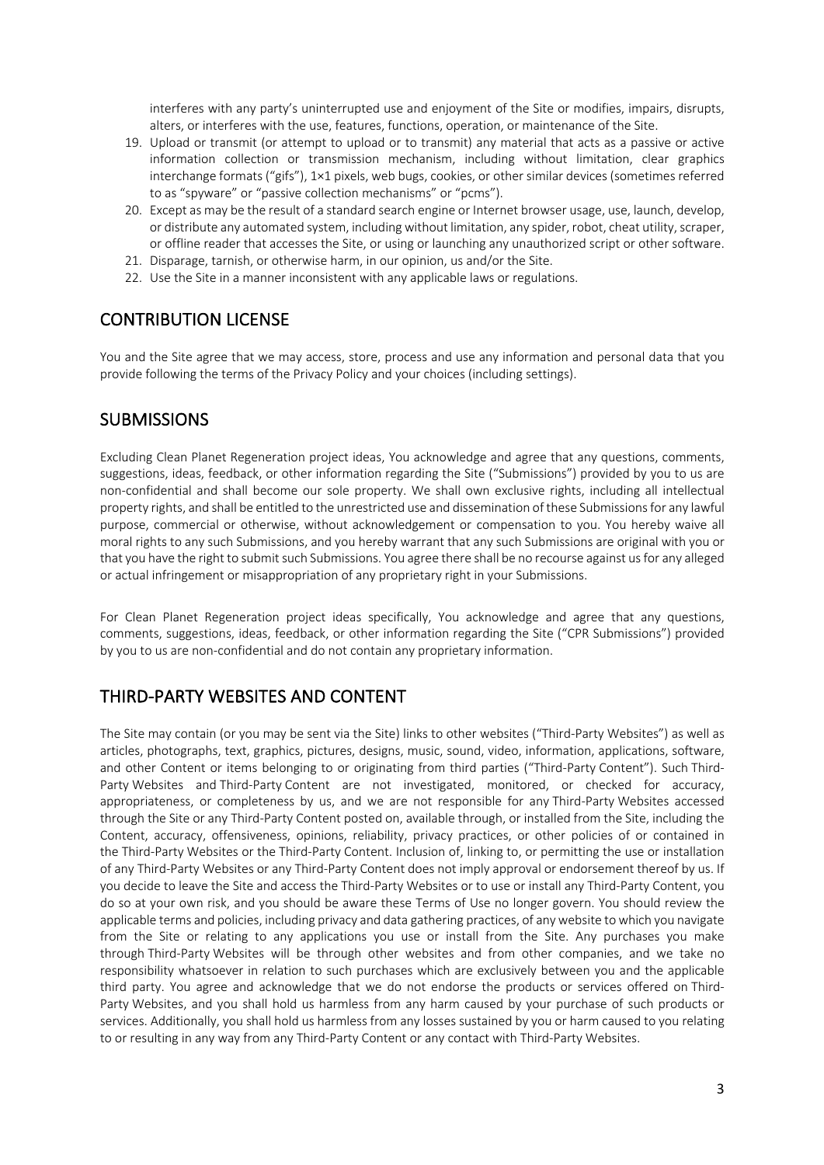interferes with any party's uninterrupted use and enjoyment of the Site or modifies, impairs, disrupts, alters, or interferes with the use, features, functions, operation, or maintenance of the Site.

- 19. Upload or transmit (or attempt to upload or to transmit) any material that acts as a passive or active information collection or transmission mechanism, including without limitation, clear graphics interchange formats ("gifs"), 1×1 pixels, web bugs, cookies, or other similar devices (sometimes referred to as "spyware" or "passive collection mechanisms" or "pcms").
- 20. Except as may be the result of a standard search engine or Internet browser usage, use, launch, develop, or distribute any automated system, including without limitation, any spider, robot, cheat utility, scraper, or offline reader that accesses the Site, or using or launching any unauthorized script or other software.
- 21. Disparage, tarnish, or otherwise harm, in our opinion, us and/or the Site.
- 22. Use the Site in a manner inconsistent with any applicable laws or regulations.

#### CONTRIBUTION LICENSE

You and the Site agree that we may access, store, process and use any information and personal data that you provide following the terms of the Privacy Policy and your choices (including settings).

#### **SUBMISSIONS**

Excluding Clean Planet Regeneration project ideas, You acknowledge and agree that any questions, comments, suggestions, ideas, feedback, or other information regarding the Site ("Submissions") provided by you to us are non-confidential and shall become our sole property. We shall own exclusive rights, including all intellectual property rights, and shall be entitled to the unrestricted use and dissemination of these Submissions for any lawful purpose, commercial or otherwise, without acknowledgement or compensation to you. You hereby waive all moral rights to any such Submissions, and you hereby warrant that any such Submissions are original with you or that you have the right to submit such Submissions. You agree there shall be no recourse against us for any alleged or actual infringement or misappropriation of any proprietary right in your Submissions.

For Clean Planet Regeneration project ideas specifically, You acknowledge and agree that any questions, comments, suggestions, ideas, feedback, or other information regarding the Site ("CPR Submissions") provided by you to us are non-confidential and do not contain any proprietary information.

### THIRD-PARTY WEBSITES AND CONTENT

The Site may contain (or you may be sent via the Site) links to other websites ("Third-Party Websites") as well as articles, photographs, text, graphics, pictures, designs, music, sound, video, information, applications, software, and other Content or items belonging to or originating from third parties ("Third-Party Content"). Such Third-Party Websites and Third-Party Content are not investigated, monitored, or checked for accuracy, appropriateness, or completeness by us, and we are not responsible for any Third-Party Websites accessed through the Site or any Third-Party Content posted on, available through, or installed from the Site, including the Content, accuracy, offensiveness, opinions, reliability, privacy practices, or other policies of or contained in the Third-Party Websites or the Third-Party Content. Inclusion of, linking to, or permitting the use or installation of any Third-Party Websites or any Third-Party Content does not imply approval or endorsement thereof by us. If you decide to leave the Site and access the Third-Party Websites or to use or install any Third-Party Content, you do so at your own risk, and you should be aware these Terms of Use no longer govern. You should review the applicable terms and policies, including privacy and data gathering practices, of any website to which you navigate from the Site or relating to any applications you use or install from the Site. Any purchases you make through Third-Party Websites will be through other websites and from other companies, and we take no responsibility whatsoever in relation to such purchases which are exclusively between you and the applicable third party. You agree and acknowledge that we do not endorse the products or services offered on Third-Party Websites, and you shall hold us harmless from any harm caused by your purchase of such products or services. Additionally, you shall hold us harmless from any losses sustained by you or harm caused to you relating to or resulting in any way from any Third-Party Content or any contact with Third-Party Websites.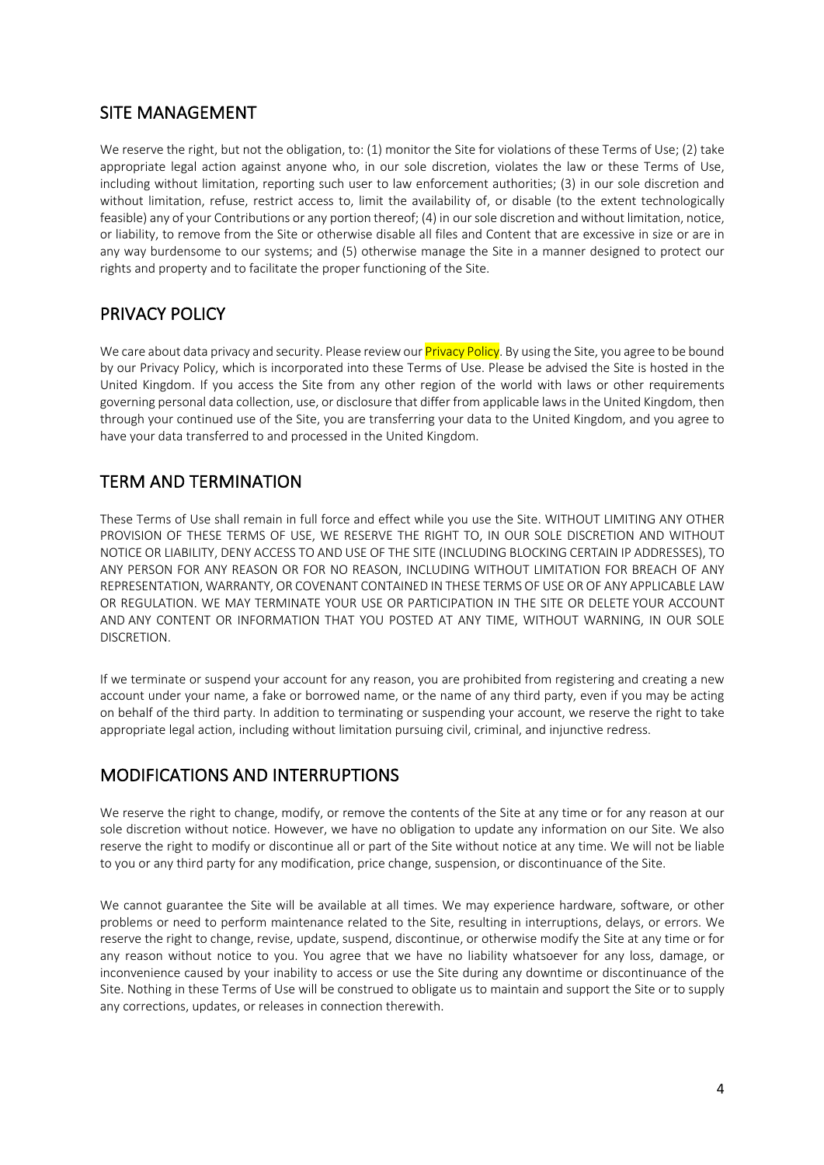### SITE MANAGEMENT

We reserve the right, but not the obligation, to: (1) monitor the Site for violations of these Terms of Use; (2) take appropriate legal action against anyone who, in our sole discretion, violates the law or these Terms of Use, including without limitation, reporting such user to law enforcement authorities; (3) in our sole discretion and without limitation, refuse, restrict access to, limit the availability of, or disable (to the extent technologically feasible) any of your Contributions or any portion thereof; (4) in our sole discretion and without limitation, notice, or liability, to remove from the Site or otherwise disable all files and Content that are excessive in size or are in any way burdensome to our systems; and (5) otherwise manage the Site in a manner designed to protect our rights and property and to facilitate the proper functioning of the Site.

## PRIVACY POLICY

We care about data privacy and security. Please review our **Privacy Policy**. By using the Site, you agree to be bound by our Privacy Policy, which is incorporated into these Terms of Use. Please be advised the Site is hosted in the United Kingdom. If you access the Site from any other region of the world with laws or other requirements governing personal data collection, use, or disclosure that differ from applicable laws in the United Kingdom, then through your continued use of the Site, you are transferring your data to the United Kingdom, and you agree to have your data transferred to and processed in the United Kingdom.

## TERM AND TERMINATION

These Terms of Use shall remain in full force and effect while you use the Site. WITHOUT LIMITING ANY OTHER PROVISION OF THESE TERMS OF USE, WE RESERVE THE RIGHT TO, IN OUR SOLE DISCRETION AND WITHOUT NOTICE OR LIABILITY, DENY ACCESS TO AND USE OF THE SITE (INCLUDING BLOCKING CERTAIN IP ADDRESSES), TO ANY PERSON FOR ANY REASON OR FOR NO REASON, INCLUDING WITHOUT LIMITATION FOR BREACH OF ANY REPRESENTATION, WARRANTY, OR COVENANT CONTAINED IN THESE TERMS OF USE OR OF ANY APPLICABLE LAW OR REGULATION. WE MAY TERMINATE YOUR USE OR PARTICIPATION IN THE SITE OR DELETE YOUR ACCOUNT AND ANY CONTENT OR INFORMATION THAT YOU POSTED AT ANY TIME, WITHOUT WARNING, IN OUR SOLE DISCRETION.

If we terminate or suspend your account for any reason, you are prohibited from registering and creating a new account under your name, a fake or borrowed name, or the name of any third party, even if you may be acting on behalf of the third party. In addition to terminating or suspending your account, we reserve the right to take appropriate legal action, including without limitation pursuing civil, criminal, and injunctive redress.

## MODIFICATIONS AND INTERRUPTIONS

We reserve the right to change, modify, or remove the contents of the Site at any time or for any reason at our sole discretion without notice. However, we have no obligation to update any information on our Site. We also reserve the right to modify or discontinue all or part of the Site without notice at any time. We will not be liable to you or any third party for any modification, price change, suspension, or discontinuance of the Site.

We cannot guarantee the Site will be available at all times. We may experience hardware, software, or other problems or need to perform maintenance related to the Site, resulting in interruptions, delays, or errors. We reserve the right to change, revise, update, suspend, discontinue, or otherwise modify the Site at any time or for any reason without notice to you. You agree that we have no liability whatsoever for any loss, damage, or inconvenience caused by your inability to access or use the Site during any downtime or discontinuance of the Site. Nothing in these Terms of Use will be construed to obligate us to maintain and support the Site or to supply any corrections, updates, or releases in connection therewith.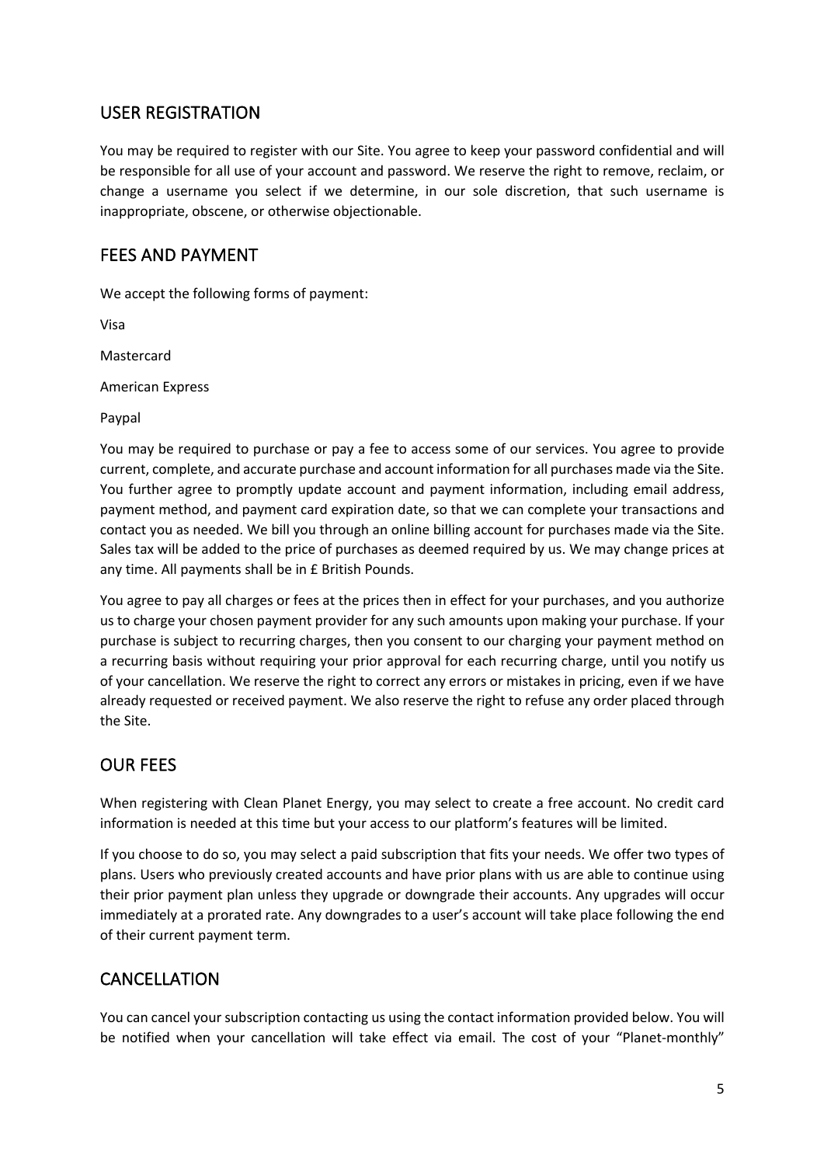## USER REGISTRATION

You may be required to register with our Site. You agree to keep your password confidential and will be responsible for all use of your account and password. We reserve the right to remove, reclaim, or change a username you select if we determine, in our sole discretion, that such username is inappropriate, obscene, or otherwise objectionable.

## FEES AND PAYMENT

We accept the following forms of payment:

Visa

Mastercard

American Express

Paypal

You may be required to purchase or pay a fee to access some of our services. You agree to provide current, complete, and accurate purchase and account information for all purchases made via the Site. You further agree to promptly update account and payment information, including email address, payment method, and payment card expiration date, so that we can complete your transactions and contact you as needed. We bill you through an online billing account for purchases made via the Site. Sales tax will be added to the price of purchases as deemed required by us. We may change prices at any time. All payments shall be in £ British Pounds.

You agree to pay all charges or fees at the prices then in effect for your purchases, and you authorize us to charge your chosen payment provider for any such amounts upon making your purchase. If your purchase is subject to recurring charges, then you consent to our charging your payment method on a recurring basis without requiring your prior approval for each recurring charge, until you notify us of your cancellation. We reserve the right to correct any errors or mistakes in pricing, even if we have already requested or received payment. We also reserve the right to refuse any order placed through the Site.

### OUR FEES

When registering with Clean Planet Energy, you may select to create a free account. No credit card information is needed at this time but your access to our platform's features will be limited.

If you choose to do so, you may select a paid subscription that fits your needs. We offer two types of plans. Users who previously created accounts and have prior plans with us are able to continue using their prior payment plan unless they upgrade or downgrade their accounts. Any upgrades will occur immediately at a prorated rate. Any downgrades to a user's account will take place following the end of their current payment term.

## CANCELLATION

You can cancel your subscription contacting us using the contact information provided below. You will be notified when your cancellation will take effect via email. The cost of your "Planet-monthly"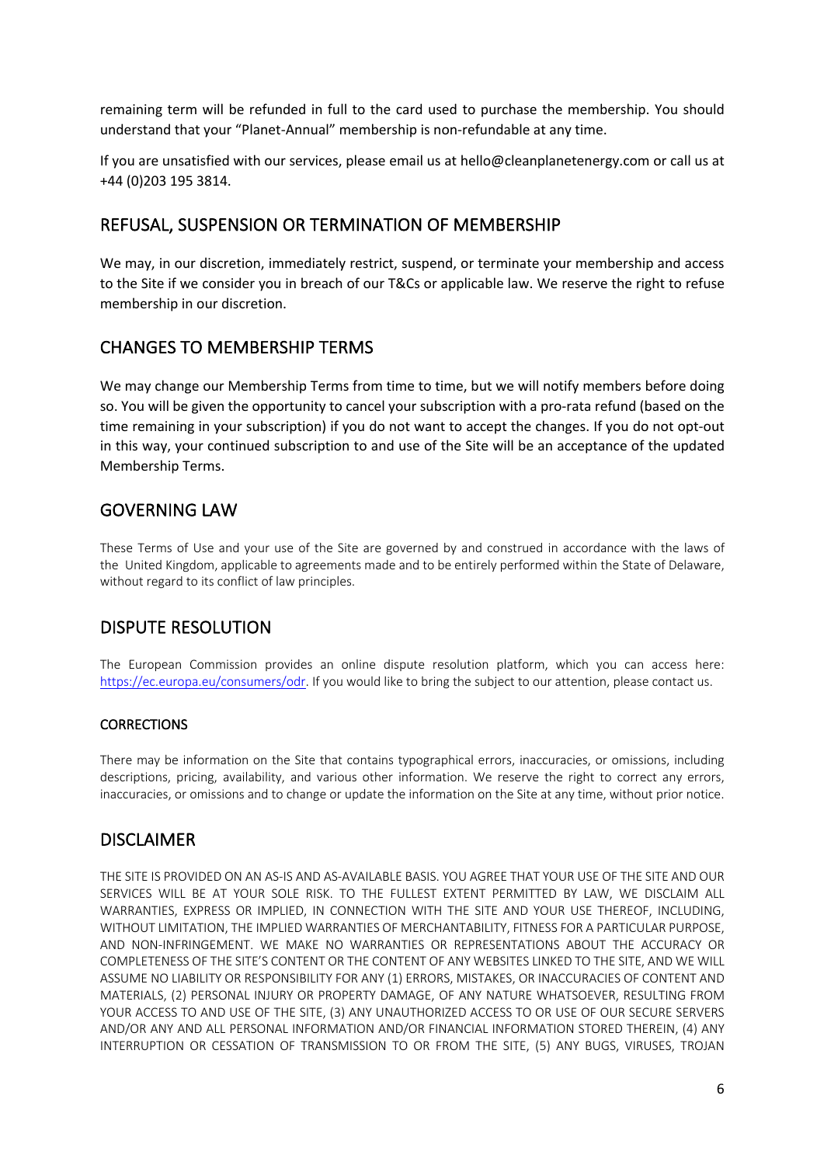remaining term will be refunded in full to the card used to purchase the membership. You should understand that your "Planet-Annual" membership is non-refundable at any time.

If you are unsatisfied with our services, please email us at hello@cleanplanetenergy.com or call us at +44 (0)203 195 3814.

### REFUSAL, SUSPENSION OR TERMINATION OF MEMBERSHIP

We may, in our discretion, immediately restrict, suspend, or terminate your membership and access to the Site if we consider you in breach of our T&Cs or applicable law. We reserve the right to refuse membership in our discretion.

### CHANGES TO MEMBERSHIP TERMS

We may change our Membership Terms from time to time, but we will notify members before doing so. You will be given the opportunity to cancel your subscription with a pro-rata refund (based on the time remaining in your subscription) if you do not want to accept the changes. If you do not opt-out in this way, your continued subscription to and use of the Site will be an acceptance of the updated Membership Terms.

## GOVERNING LAW

These Terms of Use and your use of the Site are governed by and construed in accordance with the laws of the United Kingdom, applicable to agreements made and to be entirely performed within the State of Delaware, without regard to its conflict of law principles.

# DISPUTE RESOLUTION

The European Commission provides an online dispute resolution platform, which you can access here: https://ec.europa.eu/consumers/odr. If you would like to bring the subject to our attention, please contact us.

#### **CORRECTIONS**

There may be information on the Site that contains typographical errors, inaccuracies, or omissions, including descriptions, pricing, availability, and various other information. We reserve the right to correct any errors, inaccuracies, or omissions and to change or update the information on the Site at any time, without prior notice.

### DISCLAIMER

THE SITE IS PROVIDED ON AN AS-IS AND AS-AVAILABLE BASIS. YOU AGREE THAT YOUR USE OF THE SITE AND OUR SERVICES WILL BE AT YOUR SOLE RISK. TO THE FULLEST EXTENT PERMITTED BY LAW, WE DISCLAIM ALL WARRANTIES, EXPRESS OR IMPLIED, IN CONNECTION WITH THE SITE AND YOUR USE THEREOF, INCLUDING, WITHOUT LIMITATION, THE IMPLIED WARRANTIES OF MERCHANTABILITY, FITNESS FOR A PARTICULAR PURPOSE, AND NON-INFRINGEMENT. WE MAKE NO WARRANTIES OR REPRESENTATIONS ABOUT THE ACCURACY OR COMPLETENESS OF THE SITE'S CONTENT OR THE CONTENT OF ANY WEBSITES LINKED TO THE SITE, AND WE WILL ASSUME NO LIABILITY OR RESPONSIBILITY FOR ANY (1) ERRORS, MISTAKES, OR INACCURACIES OF CONTENT AND MATERIALS, (2) PERSONAL INJURY OR PROPERTY DAMAGE, OF ANY NATURE WHATSOEVER, RESULTING FROM YOUR ACCESS TO AND USE OF THE SITE, (3) ANY UNAUTHORIZED ACCESS TO OR USE OF OUR SECURE SERVERS AND/OR ANY AND ALL PERSONAL INFORMATION AND/OR FINANCIAL INFORMATION STORED THEREIN, (4) ANY INTERRUPTION OR CESSATION OF TRANSMISSION TO OR FROM THE SITE, (5) ANY BUGS, VIRUSES, TROJAN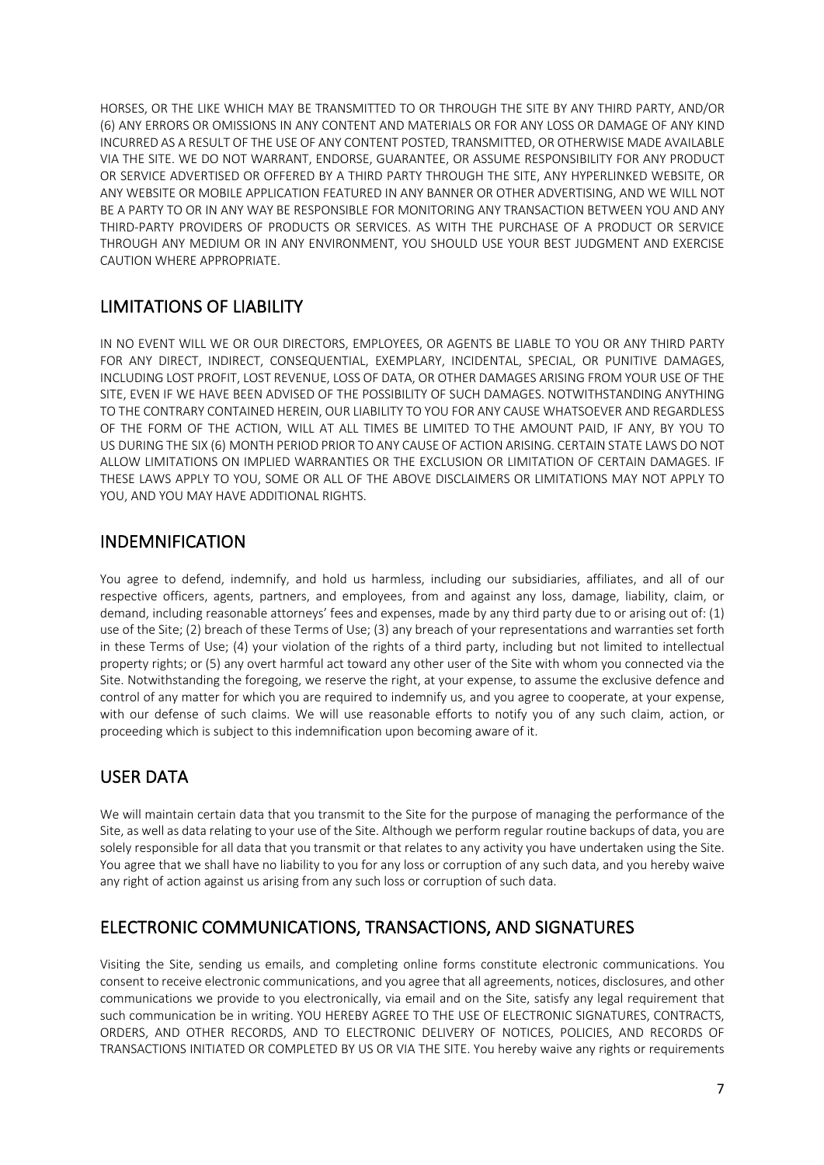HORSES, OR THE LIKE WHICH MAY BE TRANSMITTED TO OR THROUGH THE SITE BY ANY THIRD PARTY, AND/OR (6) ANY ERRORS OR OMISSIONS IN ANY CONTENT AND MATERIALS OR FOR ANY LOSS OR DAMAGE OF ANY KIND INCURRED AS A RESULT OF THE USE OF ANY CONTENT POSTED, TRANSMITTED, OR OTHERWISE MADE AVAILABLE VIA THE SITE. WE DO NOT WARRANT, ENDORSE, GUARANTEE, OR ASSUME RESPONSIBILITY FOR ANY PRODUCT OR SERVICE ADVERTISED OR OFFERED BY A THIRD PARTY THROUGH THE SITE, ANY HYPERLINKED WEBSITE, OR ANY WEBSITE OR MOBILE APPLICATION FEATURED IN ANY BANNER OR OTHER ADVERTISING, AND WE WILL NOT BE A PARTY TO OR IN ANY WAY BE RESPONSIBLE FOR MONITORING ANY TRANSACTION BETWEEN YOU AND ANY THIRD-PARTY PROVIDERS OF PRODUCTS OR SERVICES. AS WITH THE PURCHASE OF A PRODUCT OR SERVICE THROUGH ANY MEDIUM OR IN ANY ENVIRONMENT, YOU SHOULD USE YOUR BEST JUDGMENT AND EXERCISE CAUTION WHERE APPROPRIATE.

## LIMITATIONS OF LIABILITY

IN NO EVENT WILL WE OR OUR DIRECTORS, EMPLOYEES, OR AGENTS BE LIABLE TO YOU OR ANY THIRD PARTY FOR ANY DIRECT, INDIRECT, CONSEQUENTIAL, EXEMPLARY, INCIDENTAL, SPECIAL, OR PUNITIVE DAMAGES, INCLUDING LOST PROFIT, LOST REVENUE, LOSS OF DATA, OR OTHER DAMAGES ARISING FROM YOUR USE OF THE SITE, EVEN IF WE HAVE BEEN ADVISED OF THE POSSIBILITY OF SUCH DAMAGES. NOTWITHSTANDING ANYTHING TO THE CONTRARY CONTAINED HEREIN, OUR LIABILITY TO YOU FOR ANY CAUSE WHATSOEVER AND REGARDLESS OF THE FORM OF THE ACTION, WILL AT ALL TIMES BE LIMITED TO THE AMOUNT PAID, IF ANY, BY YOU TO US DURING THE SIX (6) MONTH PERIOD PRIOR TO ANY CAUSE OF ACTION ARISING. CERTAIN STATE LAWS DO NOT ALLOW LIMITATIONS ON IMPLIED WARRANTIES OR THE EXCLUSION OR LIMITATION OF CERTAIN DAMAGES. IF THESE LAWS APPLY TO YOU, SOME OR ALL OF THE ABOVE DISCLAIMERS OR LIMITATIONS MAY NOT APPLY TO YOU, AND YOU MAY HAVE ADDITIONAL RIGHTS.

### INDEMNIFICATION

You agree to defend, indemnify, and hold us harmless, including our subsidiaries, affiliates, and all of our respective officers, agents, partners, and employees, from and against any loss, damage, liability, claim, or demand, including reasonable attorneys' fees and expenses, made by any third party due to or arising out of: (1) use of the Site; (2) breach of these Terms of Use; (3) any breach of your representations and warranties set forth in these Terms of Use; (4) your violation of the rights of a third party, including but not limited to intellectual property rights; or (5) any overt harmful act toward any other user of the Site with whom you connected via the Site. Notwithstanding the foregoing, we reserve the right, at your expense, to assume the exclusive defence and control of any matter for which you are required to indemnify us, and you agree to cooperate, at your expense, with our defense of such claims. We will use reasonable efforts to notify you of any such claim, action, or proceeding which is subject to this indemnification upon becoming aware of it.

# USER DATA

We will maintain certain data that you transmit to the Site for the purpose of managing the performance of the Site, as well as data relating to your use of the Site. Although we perform regular routine backups of data, you are solely responsible for all data that you transmit or that relates to any activity you have undertaken using the Site. You agree that we shall have no liability to you for any loss or corruption of any such data, and you hereby waive any right of action against us arising from any such loss or corruption of such data.

## ELECTRONIC COMMUNICATIONS, TRANSACTIONS, AND SIGNATURES

Visiting the Site, sending us emails, and completing online forms constitute electronic communications. You consent to receive electronic communications, and you agree that all agreements, notices, disclosures, and other communications we provide to you electronically, via email and on the Site, satisfy any legal requirement that such communication be in writing. YOU HEREBY AGREE TO THE USE OF ELECTRONIC SIGNATURES, CONTRACTS, ORDERS, AND OTHER RECORDS, AND TO ELECTRONIC DELIVERY OF NOTICES, POLICIES, AND RECORDS OF TRANSACTIONS INITIATED OR COMPLETED BY US OR VIA THE SITE. You hereby waive any rights or requirements